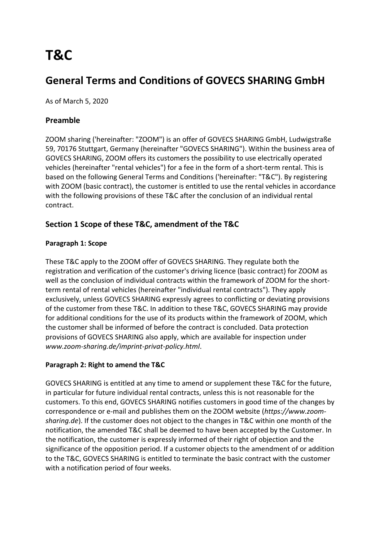# **T&C**

# **General Terms and Conditions of GOVECS SHARING GmbH**

As of March 5, 2020

# **Preamble**

ZOOM sharing ('hereinafter: "ZOOM") is an offer of GOVECS SHARING GmbH, Ludwigstraße 59, 70176 Stuttgart, Germany (hereinafter "GOVECS SHARING"). Within the business area of GOVECS SHARING, ZOOM offers its customers the possibility to use electrically operated vehicles (hereinafter "rental vehicles") for a fee in the form of a short-term rental. This is based on the following General Terms and Conditions ('hereinafter: "T&C"). By registering with ZOOM (basic contract), the customer is entitled to use the rental vehicles in accordance with the following provisions of these T&C after the conclusion of an individual rental contract.

# **Section 1 Scope of these T&C, amendment of the T&C**

# **Paragraph 1: Scope**

These T&C apply to the ZOOM offer of GOVECS SHARING. They regulate both the registration and verification of the customer's driving licence (basic contract) for ZOOM as well as the conclusion of individual contracts within the framework of ZOOM for the shortterm rental of rental vehicles (hereinafter "individual rental contracts"). They apply exclusively, unless GOVECS SHARING expressly agrees to conflicting or deviating provisions of the customer from these T&C. In addition to these T&C, GOVECS SHARING may provide for additional conditions for the use of its products within the framework of ZOOM, which the customer shall be informed of before the contract is concluded. Data protection provisions of GOVECS SHARING also apply, which are available for inspection under *www.zoom-sharing.de/imprint-privat-policy.html*.

#### **Paragraph 2: Right to amend the T&C**

GOVECS SHARING is entitled at any time to amend or supplement these T&C for the future, in particular for future individual rental contracts, unless this is not reasonable for the customers. To this end, GOVECS SHARING notifies customers in good time of the changes by correspondence or e-mail and publishes them on the ZOOM website (*https://www.zoomsharing.de*). If the customer does not object to the changes in T&C within one month of the notification, the amended T&C shall be deemed to have been accepted by the Customer. In the notification, the customer is expressly informed of their right of objection and the significance of the opposition period. If a customer objects to the amendment of or addition to the T&C, GOVECS SHARING is entitled to terminate the basic contract with the customer with a notification period of four weeks.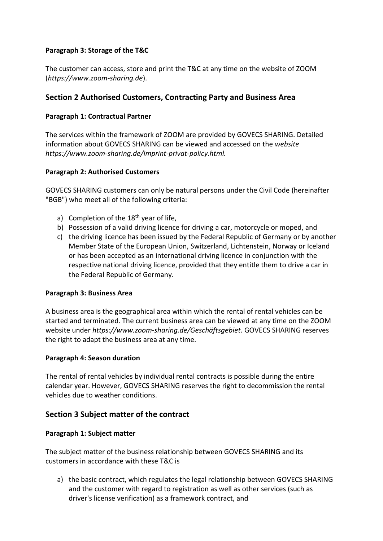#### **Paragraph 3: Storage of the T&C**

The customer can access, store and print the T&C at any time on the website of ZOOM (*https://www.zoom-sharing.de*).

# **Section 2 Authorised Customers, Contracting Party and Business Area**

#### **Paragraph 1: Contractual Partner**

The services within the framework of ZOOM are provided by GOVECS SHARING. Detailed information about GOVECS SHARING can be viewed and accessed on the *website https://www.zoom-sharing.de/imprint-privat-policy.html.*

#### **Paragraph 2: Authorised Customers**

GOVECS SHARING customers can only be natural persons under the Civil Code (hereinafter "BGB") who meet all of the following criteria:

- a) Completion of the  $18<sup>th</sup>$  year of life,
- b) Possession of a valid driving licence for driving a car, motorcycle or moped, and
- c) the driving licence has been issued by the Federal Republic of Germany or by another Member State of the European Union, Switzerland, Lichtenstein, Norway or Iceland or has been accepted as an international driving licence in conjunction with the respective national driving licence, provided that they entitle them to drive a car in the Federal Republic of Germany.

#### **Paragraph 3: Business Area**

A business area is the geographical area within which the rental of rental vehicles can be started and terminated. The current business area can be viewed at any time on the ZOOM website under *https://www.zoom-sharing.de/Geschäftsgebiet.* GOVECS SHARING reserves the right to adapt the business area at any time.

#### **Paragraph 4: Season duration**

The rental of rental vehicles by individual rental contracts is possible during the entire calendar year. However, GOVECS SHARING reserves the right to decommission the rental vehicles due to weather conditions.

#### **Section 3 Subject matter of the contract**

#### **Paragraph 1: Subject matter**

The subject matter of the business relationship between GOVECS SHARING and its customers in accordance with these T&C is

a) the basic contract, which regulates the legal relationship between GOVECS SHARING and the customer with regard to registration as well as other services (such as driver's license verification) as a framework contract, and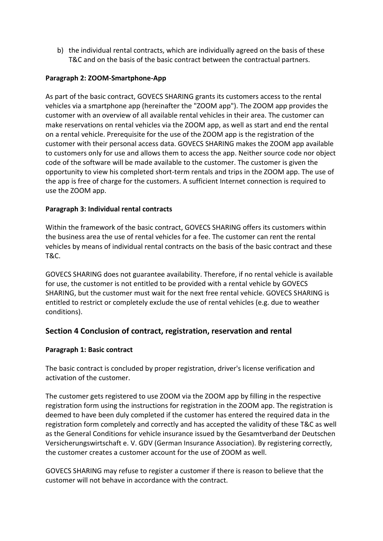b) the individual rental contracts, which are individually agreed on the basis of these T&C and on the basis of the basic contract between the contractual partners.

#### **Paragraph 2: ZOOM-Smartphone-App**

As part of the basic contract, GOVECS SHARING grants its customers access to the rental vehicles via a smartphone app (hereinafter the "ZOOM app"). The ZOOM app provides the customer with an overview of all available rental vehicles in their area. The customer can make reservations on rental vehicles via the ZOOM app, as well as start and end the rental on a rental vehicle. Prerequisite for the use of the ZOOM app is the registration of the customer with their personal access data. GOVECS SHARING makes the ZOOM app available to customers only for use and allows them to access the app. Neither source code nor object code of the software will be made available to the customer. The customer is given the opportunity to view his completed short-term rentals and trips in the ZOOM app. The use of the app is free of charge for the customers. A sufficient Internet connection is required to use the ZOOM app.

#### **Paragraph 3: Individual rental contracts**

Within the framework of the basic contract, GOVECS SHARING offers its customers within the business area the use of rental vehicles for a fee. The customer can rent the rental vehicles by means of individual rental contracts on the basis of the basic contract and these T&C.

GOVECS SHARING does not guarantee availability. Therefore, if no rental vehicle is available for use, the customer is not entitled to be provided with a rental vehicle by GOVECS SHARING, but the customer must wait for the next free rental vehicle. GOVECS SHARING is entitled to restrict or completely exclude the use of rental vehicles (e.g. due to weather conditions).

# **Section 4 Conclusion of contract, registration, reservation and rental**

#### **Paragraph 1: Basic contract**

The basic contract is concluded by proper registration, driver's license verification and activation of the customer.

The customer gets registered to use ZOOM via the ZOOM app by filling in the respective registration form using the instructions for registration in the ZOOM app. The registration is deemed to have been duly completed if the customer has entered the required data in the registration form completely and correctly and has accepted the validity of these T&C as well as the General Conditions for vehicle insurance issued by the Gesamtverband der Deutschen Versicherungswirtschaft e. V. GDV (German Insurance Association). By registering correctly, the customer creates a customer account for the use of ZOOM as well.

GOVECS SHARING may refuse to register a customer if there is reason to believe that the customer will not behave in accordance with the contract.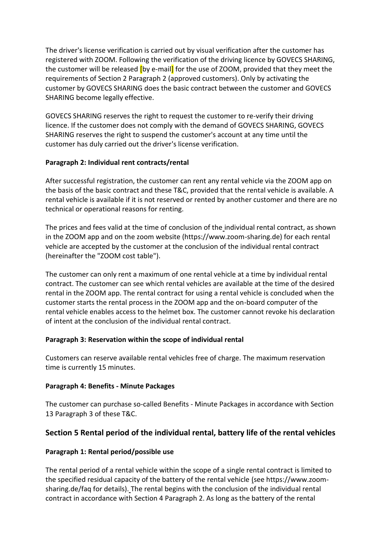The driver's license verification is carried out by visual verification after the customer has registered with ZOOM. Following the verification of the driving licence by GOVECS SHARING, the customer will be released **[by e-mail]** for the use of ZOOM, provided that they meet the requirements of Section 2 Paragraph 2 (approved customers). Only by activating the customer by GOVECS SHARING does the basic contract between the customer and GOVECS SHARING become legally effective.

GOVECS SHARING reserves the right to request the customer to re-verify their driving licence. If the customer does not comply with the demand of GOVECS SHARING, GOVECS SHARING reserves the right to suspend the customer's account at any time until the customer has duly carried out the driver's license verification.

#### **Paragraph 2: Individual rent contracts/rental**

After successful registration, the customer can rent any rental vehicle via the ZOOM app on the basis of the basic contract and these T&C, provided that the rental vehicle is available. A rental vehicle is available if it is not reserved or rented by another customer and there are no technical or operational reasons for renting.

The prices and fees valid at the time of conclusion of the individual rental contract, as shown in the ZOOM app and on the zoom website (https://www.zoom-sharing.de) for each rental vehicle are accepted by the customer at the conclusion of the individual rental contract (hereinafter the "ZOOM cost table").

The customer can only rent a maximum of one rental vehicle at a time by individual rental contract. The customer can see which rental vehicles are available at the time of the desired rental in the ZOOM app. The rental contract for using a rental vehicle is concluded when the customer starts the rental process in the ZOOM app and the on-board computer of the rental vehicle enables access to the helmet box. The customer cannot revoke his declaration of intent at the conclusion of the individual rental contract.

#### **Paragraph 3: Reservation within the scope of individual rental**

Customers can reserve available rental vehicles free of charge. The maximum reservation time is currently 15 minutes.

#### **Paragraph 4: Benefits - Minute Packages**

The customer can purchase so-called Benefits - Minute Packages in accordance with Section 13 Paragraph 3 of these T&C.

# **Section 5 Rental period of the individual rental, battery life of the rental vehicles**

#### **Paragraph 1: Rental period/possible use**

The rental period of a rental vehicle within the scope of a single rental contract is limited to the specified residual capacity of the battery of the rental vehicle (see https://www.zoomsharing.de/faq for details). The rental begins with the conclusion of the individual rental contract in accordance with Section 4 Paragraph 2. As long as the battery of the rental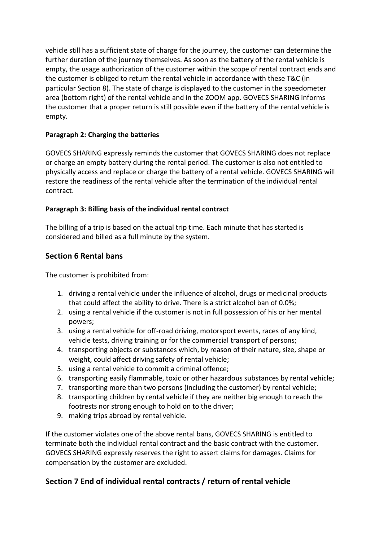vehicle still has a sufficient state of charge for the journey, the customer can determine the further duration of the journey themselves. As soon as the battery of the rental vehicle is empty, the usage authorization of the customer within the scope of rental contract ends and the customer is obliged to return the rental vehicle in accordance with these T&C (in particular Section 8). The state of charge is displayed to the customer in the speedometer area (bottom right) of the rental vehicle and in the ZOOM app. GOVECS SHARING informs the customer that a proper return is still possible even if the battery of the rental vehicle is empty.

# **Paragraph 2: Charging the batteries**

GOVECS SHARING expressly reminds the customer that GOVECS SHARING does not replace or charge an empty battery during the rental period. The customer is also not entitled to physically access and replace or charge the battery of a rental vehicle. GOVECS SHARING will restore the readiness of the rental vehicle after the termination of the individual rental contract.

# **Paragraph 3: Billing basis of the individual rental contract**

The billing of a trip is based on the actual trip time. Each minute that has started is considered and billed as a full minute by the system.

# **Section 6 Rental bans**

The customer is prohibited from:

- 1. driving a rental vehicle under the influence of alcohol, drugs or medicinal products that could affect the ability to drive. There is a strict alcohol ban of 0.0%;
- 2. using a rental vehicle if the customer is not in full possession of his or her mental powers;
- 3. using a rental vehicle for off-road driving, motorsport events, races of any kind, vehicle tests, driving training or for the commercial transport of persons;
- 4. transporting objects or substances which, by reason of their nature, size, shape or weight, could affect driving safety of rental vehicle;
- 5. using a rental vehicle to commit a criminal offence;
- 6. transporting easily flammable, toxic or other hazardous substances by rental vehicle;
- 7. transporting more than two persons (including the customer) by rental vehicle;
- 8. transporting children by rental vehicle if they are neither big enough to reach the footrests nor strong enough to hold on to the driver;
- 9. making trips abroad by rental vehicle.

If the customer violates one of the above rental bans, GOVECS SHARING is entitled to terminate both the individual rental contract and the basic contract with the customer. GOVECS SHARING expressly reserves the right to assert claims for damages. Claims for compensation by the customer are excluded.

# **Section 7 End of individual rental contracts / return of rental vehicle**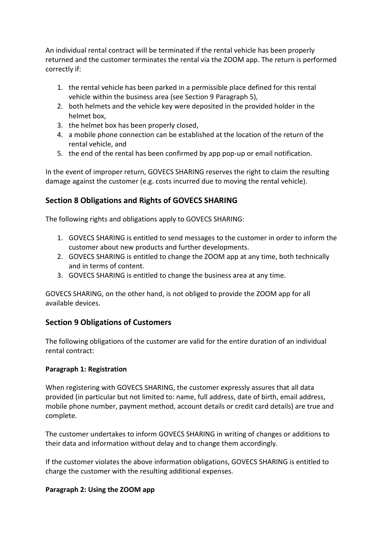An individual rental contract will be terminated if the rental vehicle has been properly returned and the customer terminates the rental via the ZOOM app. The return is performed correctly if:

- 1. the rental vehicle has been parked in a permissible place defined for this rental vehicle within the business area (see Section 9 Paragraph 5),
- 2. both helmets and the vehicle key were deposited in the provided holder in the helmet box,
- 3. the helmet box has been properly closed,
- 4. a mobile phone connection can be established at the location of the return of the rental vehicle, and
- 5. the end of the rental has been confirmed by app pop-up or email notification.

In the event of improper return, GOVECS SHARING reserves the right to claim the resulting damage against the customer (e.g. costs incurred due to moving the rental vehicle).

# **Section 8 Obligations and Rights of GOVECS SHARING**

The following rights and obligations apply to GOVECS SHARING:

- 1. GOVECS SHARING is entitled to send messages to the customer in order to inform the customer about new products and further developments.
- 2. GOVECS SHARING is entitled to change the ZOOM app at any time, both technically and in terms of content.
- 3. GOVECS SHARING is entitled to change the business area at any time.

GOVECS SHARING, on the other hand, is not obliged to provide the ZOOM app for all available devices.

# **Section 9 Obligations of Customers**

The following obligations of the customer are valid for the entire duration of an individual rental contract:

#### **Paragraph 1: Registration**

When registering with GOVECS SHARING, the customer expressly assures that all data provided (in particular but not limited to: name, full address, date of birth, email address, mobile phone number, payment method, account details or credit card details) are true and complete.

The customer undertakes to inform GOVECS SHARING in writing of changes or additions to their data and information without delay and to change them accordingly.

If the customer violates the above information obligations, GOVECS SHARING is entitled to charge the customer with the resulting additional expenses.

#### **Paragraph 2: Using the ZOOM app**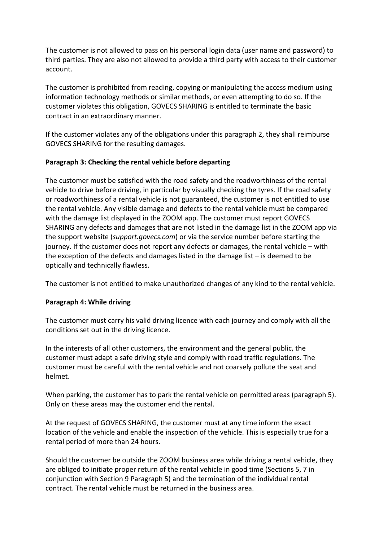The customer is not allowed to pass on his personal login data (user name and password) to third parties. They are also not allowed to provide a third party with access to their customer account.

The customer is prohibited from reading, copying or manipulating the access medium using information technology methods or similar methods, or even attempting to do so. If the customer violates this obligation, GOVECS SHARING is entitled to terminate the basic contract in an extraordinary manner.

If the customer violates any of the obligations under this paragraph 2, they shall reimburse GOVECS SHARING for the resulting damages.

#### **Paragraph 3: Checking the rental vehicle before departing**

The customer must be satisfied with the road safety and the roadworthiness of the rental vehicle to drive before driving, in particular by visually checking the tyres. If the road safety or roadworthiness of a rental vehicle is not guaranteed, the customer is not entitled to use the rental vehicle. Any visible damage and defects to the rental vehicle must be compared with the damage list displayed in the ZOOM app. The customer must report GOVECS SHARING any defects and damages that are not listed in the damage list in the ZOOM app via the support website (*support.govecs.com*) or via the service number before starting the journey. If the customer does not report any defects or damages, the rental vehicle – with the exception of the defects and damages listed in the damage list – is deemed to be optically and technically flawless.

The customer is not entitled to make unauthorized changes of any kind to the rental vehicle.

#### **Paragraph 4: While driving**

The customer must carry his valid driving licence with each journey and comply with all the conditions set out in the driving licence.

In the interests of all other customers, the environment and the general public, the customer must adapt a safe driving style and comply with road traffic regulations. The customer must be careful with the rental vehicle and not coarsely pollute the seat and helmet.

When parking, the customer has to park the rental vehicle on permitted areas (paragraph 5). Only on these areas may the customer end the rental.

At the request of GOVECS SHARING, the customer must at any time inform the exact location of the vehicle and enable the inspection of the vehicle. This is especially true for a rental period of more than 24 hours.

Should the customer be outside the ZOOM business area while driving a rental vehicle, they are obliged to initiate proper return of the rental vehicle in good time (Sections 5, 7 in conjunction with Section 9 Paragraph 5) and the termination of the individual rental contract. The rental vehicle must be returned in the business area.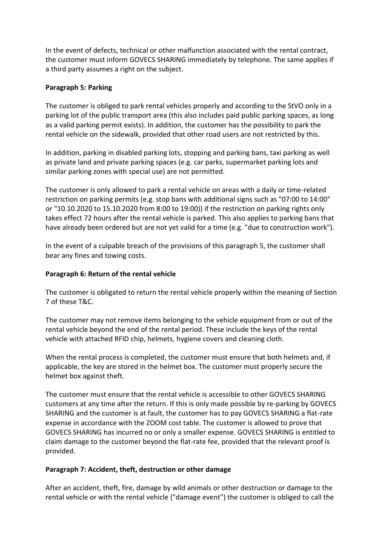In the event of defects, technical or other malfunction associated with the rental contract, the customer must inform GOVECS SHARING immediately by telephone. The same applies if a third party assumes a right on the subject.

#### **Paragraph 5: Parking**

The customer is obliged to park rental vehicles properly and according to the StVO only in a parking lot of the public transport area (this also includes paid public parking spaces, as long as a valid parking permit exists). In addition, the customer has the possibility to park the rental vehicle on the sidewalk, provided that other road users are not restricted by this.

In addition, parking in disabled parking lots, stopping and parking bans, taxi parking as well as private land and private parking spaces (e.g. car parks, supermarket parking lots and similar parking zones with special use) are not permitted.

The customer is only allowed to park a rental vehicle on areas with a daily or time-related restriction on parking permits (e.g. stop bans with additional signs such as "07:00 to 14:00" or "10.10.2020 to 15.10.2020 from 8:00 to 19:00)) if the restriction on parking rights only takes effect 72 hours after the rental vehicle is parked. This also applies to parking bans that have already been ordered but are not yet valid for a time (e.g. "due to construction work").

In the event of a culpable breach of the provisions of this paragraph 5, the customer shall bear any fines and towing costs.

#### **Paragraph 6: Return of the rental vehicle**

The customer is obligated to return the rental vehicle properly within the meaning of Section 7 of these T&C.

The customer may not remove items belonging to the vehicle equipment from or out of the rental vehicle beyond the end of the rental period. These include the keys of the rental vehicle with attached RFID chip, helmets, hygiene covers and cleaning cloth.

When the rental process is completed, the customer must ensure that both helmets and, if applicable, the key are stored in the helmet box. The customer must properly secure the helmet box against theft.

The customer must ensure that the rental vehicle is accessible to other GOVECS SHARING customers at any time after the return. If this is only made possible by re-parking by GOVECS SHARING and the customer is at fault, the customer has to pay GOVECS SHARING a flat-rate expense in accordance with the ZOOM cost table. The customer is allowed to prove that GOVECS SHARING has incurred no or only a smaller expense. GOVECS SHARING is entitled to claim damage to the customer beyond the flat-rate fee, provided that the relevant proof is provided.

#### **Paragraph 7: Accident, theft, destruction or other damage**

After an accident, theft, fire, damage by wild animals or other destruction or damage to the rental vehicle or with the rental vehicle ("damage event") the customer is obliged to call the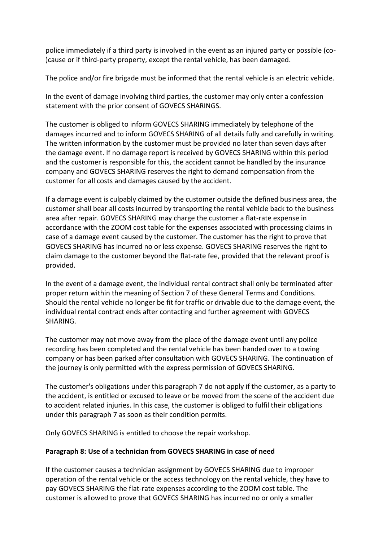police immediately if a third party is involved in the event as an injured party or possible (co- )cause or if third-party property, except the rental vehicle, has been damaged.

The police and/or fire brigade must be informed that the rental vehicle is an electric vehicle.

In the event of damage involving third parties, the customer may only enter a confession statement with the prior consent of GOVECS SHARINGS.

The customer is obliged to inform GOVECS SHARING immediately by telephone of the damages incurred and to inform GOVECS SHARING of all details fully and carefully in writing. The written information by the customer must be provided no later than seven days after the damage event. If no damage report is received by GOVECS SHARING within this period and the customer is responsible for this, the accident cannot be handled by the insurance company and GOVECS SHARING reserves the right to demand compensation from the customer for all costs and damages caused by the accident.

If a damage event is culpably claimed by the customer outside the defined business area, the customer shall bear all costs incurred by transporting the rental vehicle back to the business area after repair. GOVECS SHARING may charge the customer a flat-rate expense in accordance with the ZOOM cost table for the expenses associated with processing claims in case of a damage event caused by the customer. The customer has the right to prove that GOVECS SHARING has incurred no or less expense. GOVECS SHARING reserves the right to claim damage to the customer beyond the flat-rate fee, provided that the relevant proof is provided.

In the event of a damage event, the individual rental contract shall only be terminated after proper return within the meaning of Section 7 of these General Terms and Conditions. Should the rental vehicle no longer be fit for traffic or drivable due to the damage event, the individual rental contract ends after contacting and further agreement with GOVECS SHARING.

The customer may not move away from the place of the damage event until any police recording has been completed and the rental vehicle has been handed over to a towing company or has been parked after consultation with GOVECS SHARING. The continuation of the journey is only permitted with the express permission of GOVECS SHARING.

The customer's obligations under this paragraph 7 do not apply if the customer, as a party to the accident, is entitled or excused to leave or be moved from the scene of the accident due to accident related injuries. In this case, the customer is obliged to fulfil their obligations under this paragraph 7 as soon as their condition permits.

Only GOVECS SHARING is entitled to choose the repair workshop.

# **Paragraph 8: Use of a technician from GOVECS SHARING in case of need**

If the customer causes a technician assignment by GOVECS SHARING due to improper operation of the rental vehicle or the access technology on the rental vehicle, they have to pay GOVECS SHARING the flat-rate expenses according to the ZOOM cost table. The customer is allowed to prove that GOVECS SHARING has incurred no or only a smaller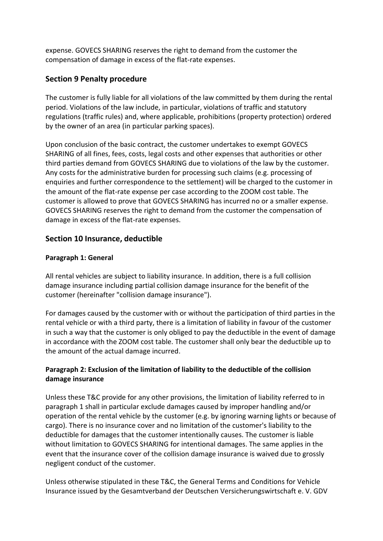expense. GOVECS SHARING reserves the right to demand from the customer the compensation of damage in excess of the flat-rate expenses.

# **Section 9 Penalty procedure**

The customer is fully liable for all violations of the law committed by them during the rental period. Violations of the law include, in particular, violations of traffic and statutory regulations (traffic rules) and, where applicable, prohibitions (property protection) ordered by the owner of an area (in particular parking spaces).

Upon conclusion of the basic contract, the customer undertakes to exempt GOVECS SHARING of all fines, fees, costs, legal costs and other expenses that authorities or other third parties demand from GOVECS SHARING due to violations of the law by the customer. Any costs for the administrative burden for processing such claims (e.g. processing of enquiries and further correspondence to the settlement) will be charged to the customer in the amount of the flat-rate expense per case according to the ZOOM cost table. The customer is allowed to prove that GOVECS SHARING has incurred no or a smaller expense. GOVECS SHARING reserves the right to demand from the customer the compensation of damage in excess of the flat-rate expenses.

# **Section 10 Insurance, deductible**

# **Paragraph 1: General**

All rental vehicles are subject to liability insurance. In addition, there is a full collision damage insurance including partial collision damage insurance for the benefit of the customer (hereinafter "collision damage insurance").

For damages caused by the customer with or without the participation of third parties in the rental vehicle or with a third party, there is a limitation of liability in favour of the customer in such a way that the customer is only obliged to pay the deductible in the event of damage in accordance with the ZOOM cost table. The customer shall only bear the deductible up to the amount of the actual damage incurred.

# **Paragraph 2: Exclusion of the limitation of liability to the deductible of the collision damage insurance**

Unless these T&C provide for any other provisions, the limitation of liability referred to in paragraph 1 shall in particular exclude damages caused by improper handling and/or operation of the rental vehicle by the customer (e.g. by ignoring warning lights or because of cargo). There is no insurance cover and no limitation of the customer's liability to the deductible for damages that the customer intentionally causes. The customer is liable without limitation to GOVECS SHARING for intentional damages. The same applies in the event that the insurance cover of the collision damage insurance is waived due to grossly negligent conduct of the customer.

Unless otherwise stipulated in these T&C, the General Terms and Conditions for Vehicle Insurance issued by the Gesamtverband der Deutschen Versicherungswirtschaft e. V. GDV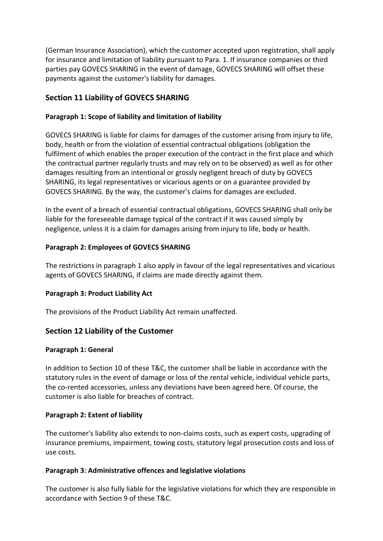(German Insurance Association), which the customer accepted upon registration, shall apply for insurance and limitation of liability pursuant to Para. 1. If insurance companies or third parties pay GOVECS SHARING in the event of damage, GOVECS SHARING will offset these payments against the customer's liability for damages.

# **Section 11 Liability of GOVECS SHARING**

#### **Paragraph 1: Scope of liability and limitation of liability**

GOVECS SHARING is liable for claims for damages of the customer arising from injury to life, body, health or from the violation of essential contractual obligations (obligation the fulfilment of which enables the proper execution of the contract in the first place and which the contractual partner regularly trusts and may rely on to be observed) as well as for other damages resulting from an intentional or grossly negligent breach of duty by GOVECS SHARING, its legal representatives or vicarious agents or on a guarantee provided by GOVECS SHARING. By the way, the customer's claims for damages are excluded.

In the event of a breach of essential contractual obligations, GOVECS SHARING shall only be liable for the foreseeable damage typical of the contract if it was caused simply by negligence, unless it is a claim for damages arising from injury to life, body or health.

#### **Paragraph 2: Employees of GOVECS SHARING**

The restrictions in paragraph 1 also apply in favour of the legal representatives and vicarious agents of GOVECS SHARING, if claims are made directly against them.

#### **Paragraph 3: Product Liability Act**

The provisions of the Product Liability Act remain unaffected.

# **Section 12 Liability of the Customer**

#### **Paragraph 1: General**

In addition to Section 10 of these T&C, the customer shall be liable in accordance with the statutory rules in the event of damage or loss of the rental vehicle, individual vehicle parts, the co-rented accessories, unless any deviations have been agreed here. Of course, the customer is also liable for breaches of contract.

#### **Paragraph 2: Extent of liability**

The customer's liability also extends to non-claims costs, such as expert costs, upgrading of insurance premiums, impairment, towing costs, statutory legal prosecution costs and loss of use costs.

#### **Paragraph 3: Administrative offences and legislative violations**

The customer is also fully liable for the legislative violations for which they are responsible in accordance with Section 9 of these T&C.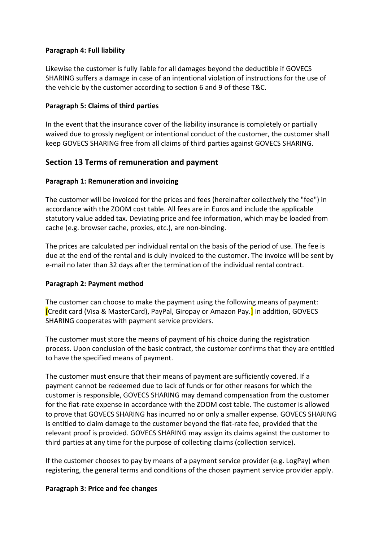#### **Paragraph 4: Full liability**

Likewise the customer is fully liable for all damages beyond the deductible if GOVECS SHARING suffers a damage in case of an intentional violation of instructions for the use of the vehicle by the customer according to section 6 and 9 of these T&C.

#### **Paragraph 5: Claims of third parties**

In the event that the insurance cover of the liability insurance is completely or partially waived due to grossly negligent or intentional conduct of the customer, the customer shall keep GOVECS SHARING free from all claims of third parties against GOVECS SHARING.

# **Section 13 Terms of remuneration and payment**

#### **Paragraph 1: Remuneration and invoicing**

The customer will be invoiced for the prices and fees (hereinafter collectively the "fee") in accordance with the ZOOM cost table. All fees are in Euros and include the applicable statutory value added tax. Deviating price and fee information, which may be loaded from cache (e.g. browser cache, proxies, etc.), are non-binding.

The prices are calculated per individual rental on the basis of the period of use. The fee is due at the end of the rental and is duly invoiced to the customer. The invoice will be sent by e-mail no later than 32 days after the termination of the individual rental contract.

#### **Paragraph 2: Payment method**

The customer can choose to make the payment using the following means of payment: [Credit card (Visa & MasterCard), PayPal, Giropay or Amazon Pay.] In addition, GOVECS SHARING cooperates with payment service providers.

The customer must store the means of payment of his choice during the registration process. Upon conclusion of the basic contract, the customer confirms that they are entitled to have the specified means of payment.

The customer must ensure that their means of payment are sufficiently covered. If a payment cannot be redeemed due to lack of funds or for other reasons for which the customer is responsible, GOVECS SHARING may demand compensation from the customer for the flat-rate expense in accordance with the ZOOM cost table. The customer is allowed to prove that GOVECS SHARING has incurred no or only a smaller expense. GOVECS SHARING is entitled to claim damage to the customer beyond the flat-rate fee, provided that the relevant proof is provided. GOVECS SHARING may assign its claims against the customer to third parties at any time for the purpose of collecting claims (collection service).

If the customer chooses to pay by means of a payment service provider (e.g. LogPay) when registering, the general terms and conditions of the chosen payment service provider apply.

#### **Paragraph 3: Price and fee changes**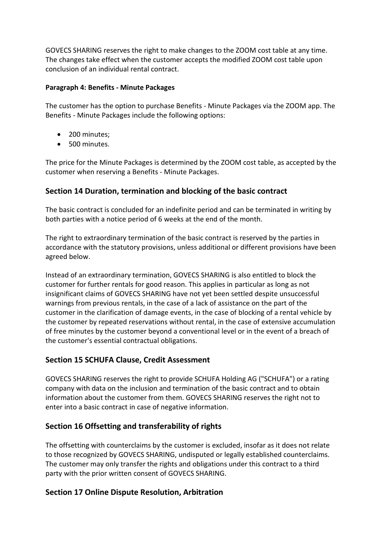GOVECS SHARING reserves the right to make changes to the ZOOM cost table at any time. The changes take effect when the customer accepts the modified ZOOM cost table upon conclusion of an individual rental contract.

#### **Paragraph 4: Benefits - Minute Packages**

The customer has the option to purchase Benefits - Minute Packages via the ZOOM app. The Benefits - Minute Packages include the following options:

- 200 minutes;
- 500 minutes.

The price for the Minute Packages is determined by the ZOOM cost table, as accepted by the customer when reserving a Benefits - Minute Packages.

# **Section 14 Duration, termination and blocking of the basic contract**

The basic contract is concluded for an indefinite period and can be terminated in writing by both parties with a notice period of 6 weeks at the end of the month.

The right to extraordinary termination of the basic contract is reserved by the parties in accordance with the statutory provisions, unless additional or different provisions have been agreed below.

Instead of an extraordinary termination, GOVECS SHARING is also entitled to block the customer for further rentals for good reason. This applies in particular as long as not insignificant claims of GOVECS SHARING have not yet been settled despite unsuccessful warnings from previous rentals, in the case of a lack of assistance on the part of the customer in the clarification of damage events, in the case of blocking of a rental vehicle by the customer by repeated reservations without rental, in the case of extensive accumulation of free minutes by the customer beyond a conventional level or in the event of a breach of the customer's essential contractual obligations.

# **Section 15 SCHUFA Clause, Credit Assessment**

GOVECS SHARING reserves the right to provide SCHUFA Holding AG ("SCHUFA") or a rating company with data on the inclusion and termination of the basic contract and to obtain information about the customer from them. GOVECS SHARING reserves the right not to enter into a basic contract in case of negative information.

# **Section 16 Offsetting and transferability of rights**

The offsetting with counterclaims by the customer is excluded, insofar as it does not relate to those recognized by GOVECS SHARING, undisputed or legally established counterclaims. The customer may only transfer the rights and obligations under this contract to a third party with the prior written consent of GOVECS SHARING.

# **Section 17 Online Dispute Resolution, Arbitration**